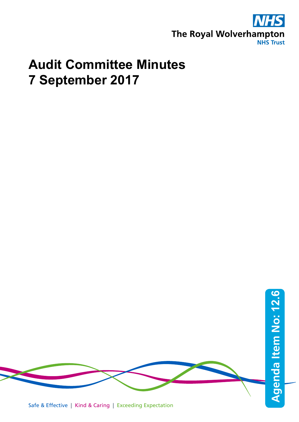

# **Audit Committee Minutes 7 September 2017**

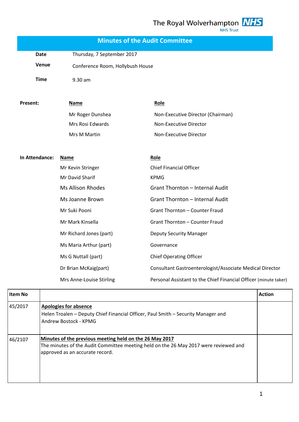The Royal Wolverhampton  $\frac{NHS}{NHS \text{ Trust}}$ 

|                | Date        |                                                                                            |                                                                                      |               |
|----------------|-------------|--------------------------------------------------------------------------------------------|--------------------------------------------------------------------------------------|---------------|
|                |             | Thursday, 7 September 2017                                                                 |                                                                                      |               |
|                | Venue       | Conference Room, Hollybush House                                                           |                                                                                      |               |
|                | <b>Time</b> | 9.30 am                                                                                    |                                                                                      |               |
| Present:       |             | <b>Name</b>                                                                                | Role                                                                                 |               |
|                |             | Mr Roger Dunshea                                                                           | Non-Executive Director (Chairman)                                                    |               |
|                |             | Mrs Rosi Edwards                                                                           | Non-Executive Director                                                               |               |
|                |             | Mrs M Martin                                                                               | Non-Executive Director                                                               |               |
| In Attendance: |             | <b>Name</b>                                                                                | Role                                                                                 |               |
|                |             | Mr Kevin Stringer                                                                          | <b>Chief Financial Officer</b>                                                       |               |
|                |             | Mr David Sharif                                                                            | <b>KPMG</b>                                                                          |               |
|                |             | <b>Ms Allison Rhodes</b>                                                                   | Grant Thornton - Internal Audit                                                      |               |
|                |             | Ms Joanne Brown                                                                            | Grant Thornton - Internal Audit                                                      |               |
|                |             | Mr Suki Pooni                                                                              | Grant Thornton - Counter Fraud                                                       |               |
|                |             | Mr Mark Kinsella                                                                           | <b>Grant Thornton - Counter Fraud</b>                                                |               |
|                |             | Mr Richard Jones (part)                                                                    | <b>Deputy Security Manager</b>                                                       |               |
|                |             | Ms Maria Arthur (part)                                                                     | Governance                                                                           |               |
|                |             | Ms G Nuttall (part)                                                                        | <b>Chief Operating Officer</b>                                                       |               |
|                |             | Dr Brian McKaig(part)                                                                      | Consultant Gastroenterologist/Associate Medical Director                             |               |
|                |             | Mrs Anne-Louise Stirling                                                                   | Personal Assistant to the Chief Financial Officer (minute taker)                     |               |
| <b>Item No</b> |             |                                                                                            |                                                                                      | <b>Action</b> |
| 45/2017        |             | <b>Apologies for absence</b><br>Andrew Bostock - KPMG                                      | Helen Troalen - Deputy Chief Financial Officer, Paul Smith - Security Manager and    |               |
| 46/2107        |             | Minutes of the previous meeting held on the 26 May 2017<br>approved as an accurate record. | The minutes of the Audit Committee meeting held on the 26 May 2017 were reviewed and |               |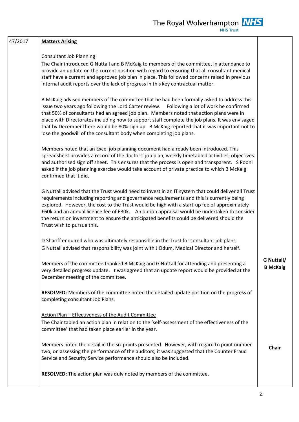| 47/2017 | <b>Matters Arising</b>                                                                                                                                                                                                                                                                                                                                                                                                                                                                                                                                      |                               |
|---------|-------------------------------------------------------------------------------------------------------------------------------------------------------------------------------------------------------------------------------------------------------------------------------------------------------------------------------------------------------------------------------------------------------------------------------------------------------------------------------------------------------------------------------------------------------------|-------------------------------|
|         | <b>Consultant Job Planning</b><br>The Chair introduced G Nuttall and B McKaig to members of the committee, in attendance to<br>provide an update on the current position with regard to ensuring that all consultant medical<br>staff have a current and approved job plan in place. This followed concerns raised in previous<br>internal audit reports over the lack of progress in this key contractual matter.                                                                                                                                          |                               |
|         | B McKaig advised members of the committee that he had been formally asked to address this<br>issue two years ago following the Lord Carter review. Following a lot of work he confirmed<br>that 50% of consultants had an agreed job plan. Members noted that action plans were in<br>place with Directorates including how to support staff complete the job plans. It was envisaged<br>that by December there would be 80% sign up. B McKaig reported that it was important not to<br>lose the goodwill of the consultant body when completing job plans. |                               |
|         | Members noted that an Excel job planning document had already been introduced. This<br>spreadsheet provides a record of the doctors' job plan, weekly timetabled activities, objectives<br>and authorised sign off sheet. This ensures that the process is open and transparent. S Pooni<br>asked if the job planning exercise would take account of private practice to which B McKaig<br>confirmed that it did.                                                                                                                                           |                               |
|         | G Nuttall advised that the Trust would need to invest in an IT system that could deliver all Trust<br>requirements including reporting and governance requirements and this is currently being<br>explored. However, the cost to the Trust would be high with a start-up fee of approximately<br>£60k and an annual licence fee of £30k. An option appraisal would be undertaken to consider<br>the return on investment to ensure the anticipated benefits could be delivered should the<br>Trust wish to pursue this.                                     |                               |
|         | D Shariff enquired who was ultimately responsible in the Trust for consultant job plans.<br>G Nuttall advised that responsibility was joint with J Odum, Medical Director and herself.                                                                                                                                                                                                                                                                                                                                                                      |                               |
|         | Members of the committee thanked B McKaig and G Nuttall for attending and presenting a<br>very detailed progress update. It was agreed that an update report would be provided at the<br>December meeting of the committee.                                                                                                                                                                                                                                                                                                                                 | G Nuttall/<br><b>B</b> McKaig |
|         | RESOLVED: Members of the committee noted the detailed update position on the progress of<br>completing consultant Job Plans.                                                                                                                                                                                                                                                                                                                                                                                                                                |                               |
|         | Action Plan - Effectiveness of the Audit Committee<br>The Chair tabled an action plan in relation to the 'self-assessment of the effectiveness of the<br>committee' that had taken place earlier in the year.                                                                                                                                                                                                                                                                                                                                               |                               |
|         | Members noted the detail in the six points presented. However, with regard to point number<br>two, on assessing the performance of the auditors, it was suggested that the Counter Fraud<br>Service and Security Service performance should also be included.                                                                                                                                                                                                                                                                                               | <b>Chair</b>                  |
|         | RESOLVED: The action plan was duly noted by members of the committee.                                                                                                                                                                                                                                                                                                                                                                                                                                                                                       |                               |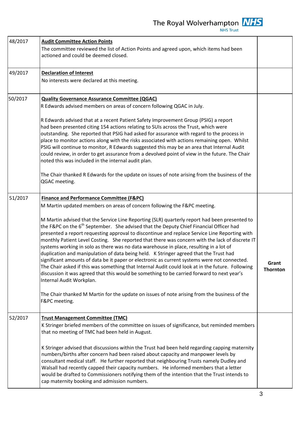The Royal Wolverhampton  $\frac{N}{H}$ 

٦

| 48/2017            | <b>Audit Committee Action Points</b><br>The committee reviewed the list of Action Points and agreed upon, which items had been<br>actioned and could be deemed closed.                                                                                                                                                                                                                                                                                                                                                                                                                                                                                                                                                                                                                                                                                                                                                                                                                                                                    |                          |
|--------------------|-------------------------------------------------------------------------------------------------------------------------------------------------------------------------------------------------------------------------------------------------------------------------------------------------------------------------------------------------------------------------------------------------------------------------------------------------------------------------------------------------------------------------------------------------------------------------------------------------------------------------------------------------------------------------------------------------------------------------------------------------------------------------------------------------------------------------------------------------------------------------------------------------------------------------------------------------------------------------------------------------------------------------------------------|--------------------------|
| 49/2017            | <b>Declaration of Interest</b><br>No interests were declared at this meeting.                                                                                                                                                                                                                                                                                                                                                                                                                                                                                                                                                                                                                                                                                                                                                                                                                                                                                                                                                             |                          |
| 50/2017<br>51/2017 | <b>Quality Governance Assurance Committee (QGAC)</b><br>R Edwards advised members on areas of concern following QGAC in July.<br>R Edwards advised that at a recent Patient Safety Improvement Group (PSIG) a report<br>had been presented citing 154 actions relating to SUIs across the Trust, which were<br>outstanding. She reported that PSIG had asked for assurance with regard to the process in<br>place to monitor actions along with the risks associated with actions remaining open. Whilst<br>PSIG will continue to monitor, R Edwards suggested this may be an area that Internal Audit<br>could review, in order to get assurance from a devolved point of view in the future. The Chair<br>noted this was included in the internal audit plan.<br>The Chair thanked R Edwards for the update on issues of note arising from the business of the<br>QGAC meeting.<br><b>Finance and Performance Committee (F&amp;PC)</b><br>M Martin updated members on areas of concern following the F&PC meeting.                      |                          |
|                    | M Martin advised that the Service Line Reporting (SLR) quarterly report had been presented to<br>the F&PC on the 6 <sup>th</sup> September. She advised that the Deputy Chief Financial Officer had<br>presented a report requesting approval to discontinue and replace Service Line Reporting with<br>monthly Patient Level Costing. She reported that there was concern with the lack of discrete IT<br>systems working in solo as there was no data warehouse in place, resulting in a lot of<br>duplication and manipulation of data being held. K Stringer agreed that the Trust had<br>significant amounts of data be it paper or electronic as current systems were not connected.<br>The Chair asked if this was something that Internal Audit could look at in the future. Following<br>discussion it was agreed that this would be something to be carried forward to next year's<br>Internal Audit Workplan.<br>The Chair thanked M Martin for the update on issues of note arising from the business of the<br>F&PC meeting. | Grant<br><b>Thornton</b> |
| 52/2017            | <b>Trust Management Committee (TMC)</b><br>K Stringer briefed members of the committee on issues of significance, but reminded members<br>that no meeting of TMC had been held in August.<br>K Stringer advised that discussions within the Trust had been held regarding capping maternity<br>numbers/births after concern had been raised about capacity and manpower levels by<br>consultant medical staff. He further reported that neighbouring Trusts namely Dudley and<br>Walsall had recently capped their capacity numbers. He informed members that a letter<br>would be drafted to Commissioners notifying them of the intention that the Trust intends to<br>cap maternity booking and admission numbers.                                                                                                                                                                                                                                                                                                                     |                          |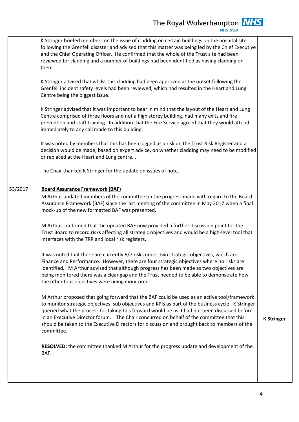|         | K Stringer briefed members on the issue of cladding on certain buildings on the hospital site<br>following the Grenfell disaster and advised that this matter was being led by the Chief Executive<br>and the Chief Operating Officer. He confirmed that the whole of the Trust site had been<br>reviewed for cladding and a number of buildings had been identified as having cladding on<br>them.                                                                                                          |                   |
|---------|--------------------------------------------------------------------------------------------------------------------------------------------------------------------------------------------------------------------------------------------------------------------------------------------------------------------------------------------------------------------------------------------------------------------------------------------------------------------------------------------------------------|-------------------|
|         | K Stringer advised that whilst this cladding had been approved at the outset following the<br>Grenfell incident safety levels had been reviewed, which had resulted in the Heart and Lung<br>Centre being the biggest issue.                                                                                                                                                                                                                                                                                 |                   |
|         | K Stringer advised that it was important to bear in mind that the layout of the Heart and Lung<br>Centre comprised of three floors and not a high storey building, had many exits and fire<br>prevention and staff training. In addition that the Fire Service agreed that they would attend<br>immediately to any call made to this building.                                                                                                                                                               |                   |
|         | It was noted by members that this has been logged as a risk on the Trust Risk Register and a<br>decision would be made, based on expert advice, on whether cladding may need to be modified<br>or replaced at the Heart and Lung centre                                                                                                                                                                                                                                                                      |                   |
|         | The Chair thanked K Stringer for the update on issues of note.                                                                                                                                                                                                                                                                                                                                                                                                                                               |                   |
| 53/2017 | <b>Board Assurance Framework (BAF)</b><br>M Arthur updated members of the committee on the progress made with regard to the Board<br>Assurance Framework (BAF) since the last meeting of the committee in May 2017 when a final<br>mock-up of the new formatted BAF was presented.                                                                                                                                                                                                                           |                   |
|         | M Arthur confirmed that the updated BAF now provided a further discussion point for the<br>Trust Board to record risks affecting all strategic objectives and would be a high-level tool that<br>interfaces with the TRR and local risk registers.                                                                                                                                                                                                                                                           |                   |
|         | It was noted that there are currently 6/7 risks under two strategic objectives, which are<br>Finance and Performance. However, there are four strategic objectives where no risks are<br>identified. M Arthur advised that although progress has been made as two objectives are<br>being monitored there was a clear gap and the Trust needed to be able to demonstrate how<br>the other four objectives were being monitored.                                                                              |                   |
|         | M Arthur proposed that going forward that the BAF could be used as an active tool/framework<br>to monitor strategic objectives, sub objectives and KPIs as part of the business cycle. K Stringer<br>queried what the process for taking this forward would be as it had not been discussed before<br>in an Executive Director forum. The Chair concurred on behalf of the committee that this<br>should be taken to the Executive Directors for discussion and brought back to members of the<br>committee. | <b>K Stringer</b> |
|         | RESOLVED: the committee thanked M Arthur for the progress update and development of the<br>BAF.                                                                                                                                                                                                                                                                                                                                                                                                              |                   |
|         |                                                                                                                                                                                                                                                                                                                                                                                                                                                                                                              |                   |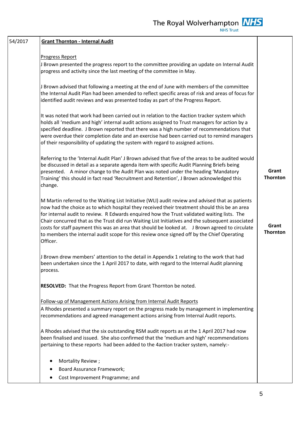| 54/2017 | <b>Grant Thornton - Internal Audit</b>                                                                                                                                                                                                                                                                                                                                                                                                                                                                                                                                                                          |                          |
|---------|-----------------------------------------------------------------------------------------------------------------------------------------------------------------------------------------------------------------------------------------------------------------------------------------------------------------------------------------------------------------------------------------------------------------------------------------------------------------------------------------------------------------------------------------------------------------------------------------------------------------|--------------------------|
|         | <b>Progress Report</b>                                                                                                                                                                                                                                                                                                                                                                                                                                                                                                                                                                                          |                          |
|         | J Brown presented the progress report to the committee providing an update on Internal Audit<br>progress and activity since the last meeting of the committee in May.                                                                                                                                                                                                                                                                                                                                                                                                                                           |                          |
|         | J Brown advised that following a meeting at the end of June with members of the committee<br>the Internal Audit Plan had been amended to reflect specific areas of risk and areas of focus for<br>identified audit reviews and was presented today as part of the Progress Report.                                                                                                                                                                                                                                                                                                                              |                          |
|         | It was noted that work had been carried out in relation to the 4action tracker system which<br>holds all 'medium and high' internal audit actions assigned to Trust managers for action by a<br>specified deadline. J Brown reported that there was a high number of recommendations that<br>were overdue their completion date and an exercise had been carried out to remind managers<br>of their responsibility of updating the system with regard to assigned actions.                                                                                                                                      |                          |
|         | Referring to the 'Internal Audit Plan' J Brown advised that five of the areas to be audited would<br>be discussed in detail as a separate agenda item with specific Audit Planning Briefs being<br>presented. A minor change to the Audit Plan was noted under the heading 'Mandatory<br>Training' this should in fact read 'Recruitment and Retention', J Brown acknowledged this<br>change.                                                                                                                                                                                                                   | Grant<br>Thornton        |
|         | M Martin referred to the Waiting List Initiative (WLI) audit review and advised that as patients<br>now had the choice as to which hospital they received their treatment should this be an area<br>for internal audit to review. R Edwards enquired how the Trust validated waiting lists. The<br>Chair concurred that as the Trust did run Waiting List Initiatives and the subsequent associated<br>costs for staff payment this was an area that should be looked at. J Brown agreed to circulate<br>to members the internal audit scope for this review once signed off by the Chief Operating<br>Officer. | Grant<br><b>Thornton</b> |
|         | J Brown drew members' attention to the detail in Appendix 1 relating to the work that had<br>been undertaken since the 1 April 2017 to date, with regard to the Internal Audit planning<br>process.                                                                                                                                                                                                                                                                                                                                                                                                             |                          |
|         | <b>RESOLVED:</b> That the Progress Report from Grant Thornton be noted.                                                                                                                                                                                                                                                                                                                                                                                                                                                                                                                                         |                          |
|         | Follow-up of Management Actions Arising from Internal Audit Reports<br>A Rhodes presented a summary report on the progress made by management in implementing<br>recommendations and agreed management actions arising from Internal Audit reports.                                                                                                                                                                                                                                                                                                                                                             |                          |
|         | A Rhodes advised that the six outstanding RSM audit reports as at the 1 April 2017 had now<br>been finalised and issued. She also confirmed that the 'medium and high' recommendations<br>pertaining to these reports had been added to the 4action tracker system, namely:-                                                                                                                                                                                                                                                                                                                                    |                          |
|         | Mortality Review;                                                                                                                                                                                                                                                                                                                                                                                                                                                                                                                                                                                               |                          |
|         | Board Assurance Framework;                                                                                                                                                                                                                                                                                                                                                                                                                                                                                                                                                                                      |                          |
|         | Cost Improvement Programme; and                                                                                                                                                                                                                                                                                                                                                                                                                                                                                                                                                                                 |                          |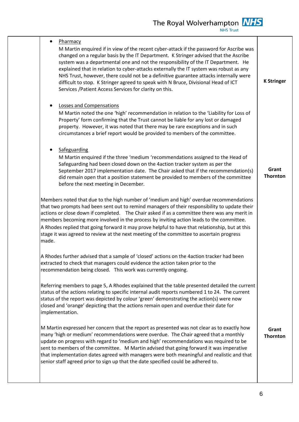The Royal Wolverhampton  $\frac{NHS}{NHS \text{ Trust}}$ 

| Pharmacy<br>$\bullet$<br>M Martin enquired if in view of the recent cyber-attack if the password for Ascribe was<br>changed on a regular basis by the IT Department. K Stringer advised that the Ascribe<br>system was a departmental one and not the responsibility of the IT Department. He<br>explained that in relation to cyber-attacks externally the IT system was robust as any<br>NHS Trust, however, there could not be a definitive guarantee attacks internally were<br>difficult to stop. K Stringer agreed to speak with N Bruce, Divisional Head of ICT<br>Services / Patient Access Services for clarity on this. | <b>K Stringer</b>        |
|-----------------------------------------------------------------------------------------------------------------------------------------------------------------------------------------------------------------------------------------------------------------------------------------------------------------------------------------------------------------------------------------------------------------------------------------------------------------------------------------------------------------------------------------------------------------------------------------------------------------------------------|--------------------------|
| Losses and Compensations<br>M Martin noted the one 'high' recommendation in relation to the 'Liability for Loss of<br>Property' form confirming that the Trust cannot be liable for any lost or damaged<br>property. However, it was noted that there may be rare exceptions and in such<br>circumstances a brief report would be provided to members of the committee.                                                                                                                                                                                                                                                           |                          |
| Safeguarding<br>M Martin enquired if the three 'medium 'recommendations assigned to the Head of<br>Safeguarding had been closed down on the 4action tracker system as per the<br>September 2017 implementation date. The Chair asked that if the recommendation(s)<br>did remain open that a position statement be provided to members of the committee<br>before the next meeting in December.                                                                                                                                                                                                                                   | Grant<br><b>Thornton</b> |
| Members noted that due to the high number of 'medium and high' overdue recommendations<br>that two prompts had been sent out to remind managers of their responsibility to update their<br>actions or close down if completed. The Chair asked if as a committee there was any merit in<br>members becoming more involved in the process by inviting action leads to the committee.<br>A Rhodes replied that going forward it may prove helpful to have that relationship, but at this<br>stage it was agreed to review at the next meeting of the committee to ascertain progress<br>made.                                       |                          |
| A Rhodes further advised that a sample of 'closed' actions on the 4action tracker had been<br>extracted to check that managers could evidence the action taken prior to the<br>recommendation being closed. This work was currently ongoing.                                                                                                                                                                                                                                                                                                                                                                                      |                          |
| Referring members to page 5, A Rhodes explained that the table presented detailed the current<br>status of the actions relating to specific internal audit reports numbered 1 to 24. The current<br>status of the report was depicted by colour 'green' demonstrating the action(s) were now<br>closed and 'orange' depicting that the actions remain open and overdue their date for<br>implementation.                                                                                                                                                                                                                          |                          |
| M Martin expressed her concern that the report as presented was not clear as to exactly how<br>many 'high or medium' recommendations were overdue. The Chair agreed that a monthly<br>update on progress with regard to 'medium and high' recommendations was required to be<br>sent to members of the committee. M Martin advised that going forward it was imperative<br>that implementation dates agreed with managers were both meaningful and realistic and that<br>senior staff agreed prior to sign up that the date specified could be adhered to.                                                                        | Grant<br><b>Thornton</b> |
|                                                                                                                                                                                                                                                                                                                                                                                                                                                                                                                                                                                                                                   |                          |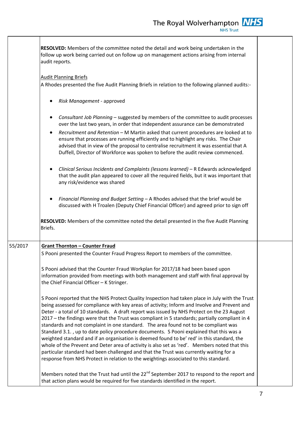**RESOLVED:** Members of the committee noted the detail and work being undertaken in the follow up work being carried out on follow up on management actions arising from internal audit reports.

#### Audit Planning Briefs

A Rhodes presented the five Audit Planning Briefs in relation to the following planned audits:-

- *Risk Management* approved
- *Consultant Job Planning* suggested by members of the committee to audit processes over the last two years, in order that independent assurance can be demonstrated
- *Recruitment and Retention* M Martin asked that current procedures are looked at to ensure that processes are running efficiently and to highlight any risks. The Chair advised that in view of the proposal to centralise recruitment it was essential that A Duffell, Director of Workforce was spoken to before the audit review commenced.
- *Clinical Serious Incidents and Complaints (lessons learned)* R Edwards acknowledged that the audit plan appeared to cover all the required fields, but it was important that any risk/evidence was shared
- *Financial Planning and Budget Setting* A Rhodes advised that the brief would be discussed with H Troalen (Deputy Chief Financial Officer) and agreed prior to sign off

**RESOLVED:** Members of the committee noted the detail presented in the five Audit Planning Briefs.

### 55/2017 **Grant Thornton – Counter Fraud**

S Pooni presented the Counter Fraud Progress Report to members of the committee.

S Pooni advised that the Counter Fraud Workplan for 2017/18 had been based upon information provided from meetings with both management and staff with final approval by the Chief Financial Officer – K Stringer.

S Pooni reported that the NHS Protect Quality Inspection had taken place in July with the Trust being assessed for compliance with key areas of activity; Inform and Involve and Prevent and Deter - a total of 10 standards. A draft report was issued by NHS Protect on the 23 August 2017 – the findings were that the Trust was compliant in 5 standards; partially compliant in 4 standards and not complaint in one standard. The area found not to be compliant was Standard 3.1. , up to date policy procedure documents. S Pooni explained that this was a weighted standard and if an organisation is deemed found to be' red' in this standard, the whole of the Prevent and Deter area of activity is also set as 'red'. Members noted that this particular standard had been challenged and that the Trust was currently waiting for a response from NHS Protect in relation to the weightings associated to this standard.

Members noted that the Trust had until the  $22^{nd}$  September 2017 to respond to the report and that action plans would be required for five standards identified in the report.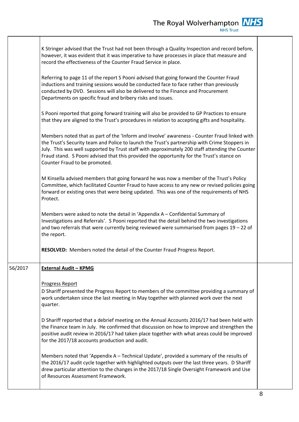|         | K Stringer advised that the Trust had not been through a Quality Inspection and record before,<br>however, it was evident that it was imperative to have processes in place that measure and<br>record the effectiveness of the Counter Fraud Service in place.                                                                                                                                                                |  |
|---------|--------------------------------------------------------------------------------------------------------------------------------------------------------------------------------------------------------------------------------------------------------------------------------------------------------------------------------------------------------------------------------------------------------------------------------|--|
|         | Referring to page 11 of the report S Pooni advised that going forward the Counter Fraud<br>inductions and training sessions would be conducted face to face rather than previously<br>conducted by DVD. Sessions will also be delivered to the Finance and Procurement<br>Departments on specific fraud and bribery risks and issues.                                                                                          |  |
|         | S Pooni reported that going forward training will also be provided to GP Practices to ensure<br>that they are aligned to the Trust's procedures in relation to accepting gifts and hospitality.                                                                                                                                                                                                                                |  |
|         | Members noted that as part of the 'Inform and Involve' awareness - Counter Fraud linked with<br>the Trust's Security team and Police to launch the Trust's partnership with Crime Stoppers in<br>July. This was well supported by Trust staff with approximately 200 staff attending the Counter<br>Fraud stand. S Pooni advised that this provided the opportunity for the Trust's stance on<br>Counter Fraud to be promoted. |  |
|         | M Kinsella advised members that going forward he was now a member of the Trust's Policy<br>Committee, which facilitated Counter Fraud to have access to any new or revised policies going<br>forward or existing ones that were being updated. This was one of the requirements of NHS<br>Protect.                                                                                                                             |  |
|         | Members were asked to note the detail in 'Appendix A – Confidential Summary of<br>Investigations and Referrals'. S Pooni reported that the detail behind the two investigations<br>and two referrals that were currently being reviewed were summarised from pages 19 - 22 of<br>the report.                                                                                                                                   |  |
|         | RESOLVED: Members noted the detail of the Counter Fraud Progress Report.                                                                                                                                                                                                                                                                                                                                                       |  |
| 56/2017 | <b>External Audit - KPMG</b>                                                                                                                                                                                                                                                                                                                                                                                                   |  |
|         | <b>Progress Report</b><br>D Shariff presented the Progress Report to members of the committee providing a summary of<br>work undertaken since the last meeting in May together with planned work over the next<br>quarter.                                                                                                                                                                                                     |  |
|         | D Shariff reported that a debrief meeting on the Annual Accounts 2016/17 had been held with<br>the Finance team in July. He confirmed that discussion on how to improve and strengthen the<br>positive audit review in 2016/17 had taken place together with what areas could be improved<br>for the 2017/18 accounts production and audit.                                                                                    |  |
|         | Members noted that 'Appendix A – Technical Update', provided a summary of the results of<br>the 2016/17 audit cycle together with highlighted outputs over the last three years. D Shariff<br>drew particular attention to the changes in the 2017/18 Single Oversight Framework and Use<br>of Resources Assessment Framework.                                                                                                 |  |
|         |                                                                                                                                                                                                                                                                                                                                                                                                                                |  |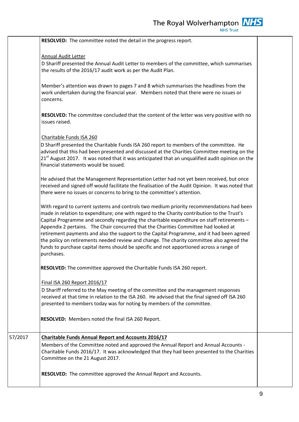**RESOLVED:** The committee noted the detail in the progress report.

#### Annual Audit Letter

D Shariff presented the Annual Audit Letter to members of the committee, which summarises the results of the 2016/17 audit work as per the Audit Plan.

Member's attention was drawn to pages 7 and 8 which summarises the headlines from the work undertaken during the financial year. Members noted that there were no issues or concerns.

**RESOLVED:** The committee concluded that the content of the letter was very positive with no issues raised.

#### Charitable Funds ISA 260

D Shariff presented the Charitable Funds ISA 260 report to members of the committee. He advised that this had been presented and discussed at the Charities Committee meeting on the 21<sup>st</sup> August 2017. It was noted that it was anticipated that an unqualified audit opinion on the financial statements would be issued.

He advised that the Management Representation Letter had not yet been received, but once received and signed off would facilitate the finalisation of the Audit Opinion. It was noted that there were no issues or concerns to bring to the committee's attention.

With regard to current systems and controls two medium priority recommendations had been made in relation to expenditure; one with regard to the Charity contribution to the Trust's Capital Programme and secondly regarding the charitable expenditure on staff retirements – Appendix 2 pertains. The Chair concurred that the Charities Committee had looked at retirement payments and also the support to the Capital Programme, and it had been agreed the policy on retirements needed review and change. The charity committee also agreed the funds to purchase capital items should be specific and not apportioned across a range of purchases.

**RESOLVED:** The committee approved the Charitable Funds ISA 260 report.

#### Final ISA 260 Report 2016/17

D Shariff referred to the May meeting of the committee and the management responses received at that time in relation to the ISA 260. He advised that the final signed off ISA 260 presented to members today was for noting by members of the committee.

**RESOLVED:** Members noted the final ISA 260 Report.

## 57/2017 **Charitable Funds Annual Report and Accounts 2016/17** Members of the Committee noted and approved the Annual Report and Annual Accounts - Charitable Funds 2016/17. It was acknowledged that they had been presented to the Charities Committee on the 21 August 2017.

**RESOLVED:** The committee approved the Annual Report and Accounts.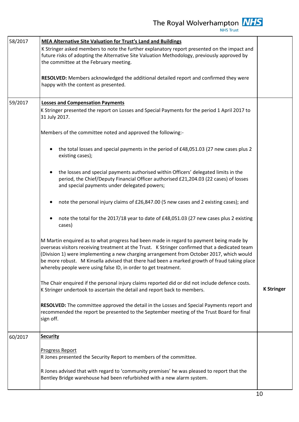The Royal Wolverhampton  $\frac{N}{H}$ 

| 58/2017 | <b>MEA Alternative Site Valuation for Trust's Land and Buildings</b>                                                                                                                                                                                                                                                                                                                                                                                   |                   |
|---------|--------------------------------------------------------------------------------------------------------------------------------------------------------------------------------------------------------------------------------------------------------------------------------------------------------------------------------------------------------------------------------------------------------------------------------------------------------|-------------------|
|         | K Stringer asked members to note the further explanatory report presented on the impact and<br>future risks of adopting the Alternative Site Valuation Methodology, previously approved by<br>the committee at the February meeting.                                                                                                                                                                                                                   |                   |
|         | RESOLVED: Members acknowledged the additional detailed report and confirmed they were<br>happy with the content as presented.                                                                                                                                                                                                                                                                                                                          |                   |
| 59/2017 | <b>Losses and Compensation Payments</b>                                                                                                                                                                                                                                                                                                                                                                                                                |                   |
|         | K Stringer presented the report on Losses and Special Payments for the period 1 April 2017 to<br>31 July 2017.                                                                                                                                                                                                                                                                                                                                         |                   |
|         | Members of the committee noted and approved the following:-                                                                                                                                                                                                                                                                                                                                                                                            |                   |
|         | the total losses and special payments in the period of £48,051.03 (27 new cases plus 2<br>existing cases);                                                                                                                                                                                                                                                                                                                                             |                   |
|         | the losses and special payments authorised within Officers' delegated limits in the<br>$\bullet$<br>period, the Chief/Deputy Financial Officer authorised £21,204.03 (22 cases) of losses<br>and special payments under delegated powers;                                                                                                                                                                                                              |                   |
|         | note the personal injury claims of £26,847.00 (5 new cases and 2 existing cases); and<br>$\bullet$                                                                                                                                                                                                                                                                                                                                                     |                   |
|         | note the total for the 2017/18 year to date of £48,051.03 (27 new cases plus 2 existing<br>cases)                                                                                                                                                                                                                                                                                                                                                      |                   |
|         | M Martin enquired as to what progress had been made in regard to payment being made by<br>overseas visitors receiving treatment at the Trust. K Stringer confirmed that a dedicated team<br>(Division 1) were implementing a new charging arrangement from October 2017, which would<br>be more robust. M Kinsella advised that there had been a marked growth of fraud taking place<br>whereby people were using false ID, in order to get treatment. |                   |
|         | The Chair enquired if the personal injury claims reported did or did not include defence costs.<br>K Stringer undertook to ascertain the detail and report back to members.                                                                                                                                                                                                                                                                            | <b>K Stringer</b> |
|         | RESOLVED: The committee approved the detail in the Losses and Special Payments report and<br>recommended the report be presented to the September meeting of the Trust Board for final<br>sign off.                                                                                                                                                                                                                                                    |                   |
| 60/2017 | <b>Security</b>                                                                                                                                                                                                                                                                                                                                                                                                                                        |                   |
|         | Progress Report<br>R Jones presented the Security Report to members of the committee.                                                                                                                                                                                                                                                                                                                                                                  |                   |
|         | R Jones advised that with regard to 'community premises' he was pleased to report that the<br>Bentley Bridge warehouse had been refurbished with a new alarm system.                                                                                                                                                                                                                                                                                   |                   |